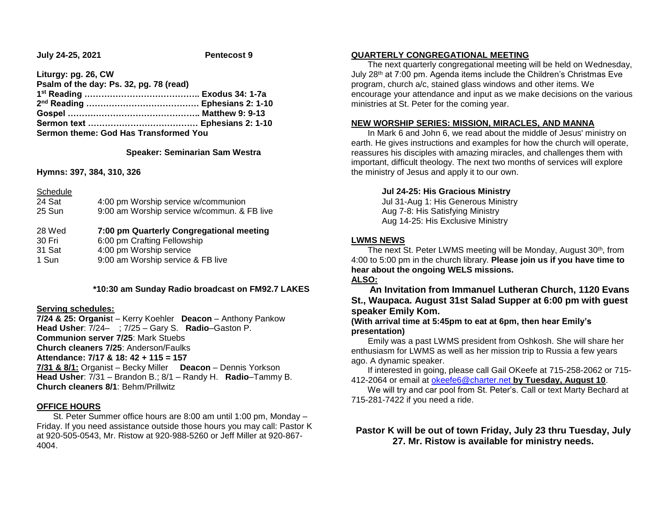**July 24-25, 2021 Pentecost 9**

**Liturgy: pg. 26, CW Psalm of the day: Ps. 32, pg. 78 (read) 1 st Reading ………………………………….. Exodus 34: 1-7a 2 nd Reading …………………………………. Ephesians 2: 1-10 Gospel ……………………………………….. Matthew 9: 9-13 Sermon text ………………………………… Ephesians 2: 1-10 Sermon theme: God Has Transformed You**

### **Speaker: Seminarian Sam Westra**

**Hymns: 397, 384, 310, 326**

| Schedule |                                             |
|----------|---------------------------------------------|
| 24 Sat   | 4:00 pm Worship service w/communion         |
| 25 Sun   | 9:00 am Worship service w/commun. & FB live |
| 28 Wed   | 7:00 pm Quarterly Congregational meeting    |
|          |                                             |
| 30 Fri   | 6:00 pm Crafting Fellowship                 |
| 31 Sat   | 4:00 pm Worship service                     |

### **\*10:30 am Sunday Radio broadcast on FM92.7 LAKES**

### **Serving schedules:**

**7/24 & 25: Organis**t – Kerry Koehler **Deacon** – Anthony Pankow **Head Usher**: 7/24– ; 7/25 – Gary S. **Radio**–Gaston P. **Communion server 7/25**: Mark Stuebs **Church cleaners 7/25**: Anderson/Faulks **Attendance: 7/17 & 18: 42 + 115 = 157 7/31 & 8/1:** Organist – Becky Miller **Deacon** – Dennis Yorkson **Head Usher**: 7/31 – Brandon B.; 8/1 – Randy H. **Radio**–Tammy B. **Church cleaners 8/1**: Behm/Prillwitz

#### **OFFICE HOURS**

 St. Peter Summer office hours are 8:00 am until 1:00 pm, Monday – Friday. If you need assistance outside those hours you may call: Pastor K at 920-505-0543, Mr. Ristow at 920-988-5260 or Jeff Miller at 920-867- 4004.

#### **QUARTERLY CONGREGATIONAL MEETING**

 The next quarterly congregational meeting will be held on Wednesday, July 28th at 7:00 pm. Agenda items include the Children's Christmas Eve program, church a/c, stained glass windows and other items. We encourage your attendance and input as we make decisions on the various ministries at St. Peter for the coming year.

#### **NEW WORSHIP SERIES: MISSION, MIRACLES, AND MANNA**

 In Mark 6 and John 6, we read about the middle of Jesus' ministry on earth. He gives instructions and examples for how the church will operate, reassures his disciples with amazing miracles, and challenges them with important, difficult theology. The next two months of services will explore the ministry of Jesus and apply it to our own.

## **Jul 24-25: His Gracious Ministry**

Jul 31-Aug 1: His Generous Ministry Aug 7-8: His Satisfying Ministry Aug 14-25: His Exclusive Ministry

### **LWMS NEWS**

The next St. Peter LWMS meeting will be Monday, August 30<sup>th</sup>, from 4:00 to 5:00 pm in the church library. **Please join us if you have time to hear about the ongoing WELS missions.**

## **ALSO:**

 **An Invitation from Immanuel Lutheran Church, 1120 Evans St., Waupaca. August 31st Salad Supper at 6:00 pm with guest speaker Emily Kom.**

## **(With arrival time at 5:45pm to eat at 6pm, then hear Emily's presentation)**

 Emily was a past LWMS president from Oshkosh. She will share her enthusiasm for LWMS as well as her mission trip to Russia a few years ago. A dynamic speaker.

 If interested in going, please call Gail OKeefe at 715-258-2062 or 715- 412-2064 or email at [okeefe6@charter.net](mailto:okeefe6@charter.net) **by Tuesday, August 10**.

 We will try and car pool from St. Peter's. Call or text Marty Bechard at 715-281-7422 if you need a ride.

# **Pastor K will be out of town Friday, July 23 thru Tuesday, July 27. Mr. Ristow is available for ministry needs.**